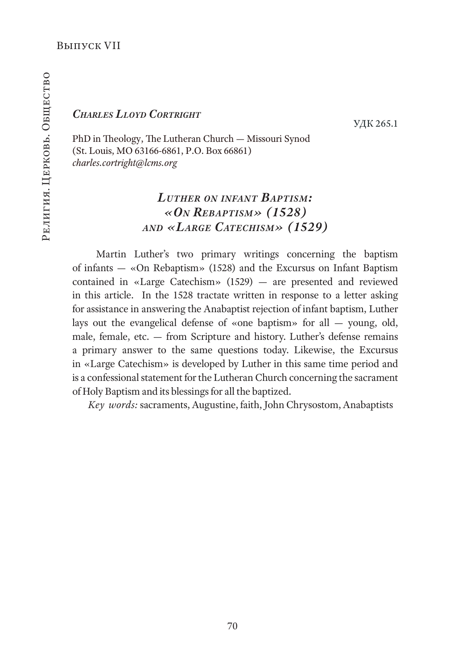## *Charles Lloyd Cortright*

УДК 265.1

PhD in Theology, The Lutheran Church — Missouri Synod (St. Louis, MO 63166-6861, P.O. Box 66861) *charles.cortright@lcms.org*

# *Luther on infant Baptism: «On Rebaptism» (1528) and «Large Catechism» (1529)*

 Martin Luther's two primary writings concerning the baptism of infants — «On Rebaptism» (1528) and the Excursus on Infant Baptism contained in «Large Catechism» (1529) — are presented and reviewed in this article. In the 1528 tractate written in response to a letter asking for assistance in answering the Anabaptist rejection of infant baptism, Luther lays out the evangelical defense of «one baptism» for all — young, old, male, female, etc. — from Scripture and history. Luther's defense remains a primary answer to the same questions today. Likewise, the Excursus in «Large Catechism» is developed by Luther in this same time period and is a confessional statement for the Lutheran Church concerning the sacrament of Holy Baptism and its blessings for all the baptized.

*Key words:* sacraments, Augustine, faith, John Chrysostom, Anabaptists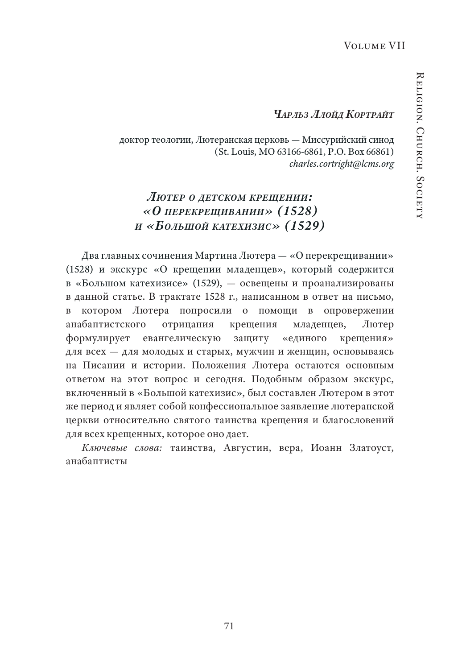### *Чарльз Ллойд Кортрайт*

доктор теологии, Лютеранская церковь — Миссурийский синод (St. Louis, MO 63166-6861, P.O. Box 66861) *charles.cortright@lcms.org*

# *Лютер о детсКом Крещении: «О переКрещивании» (1528) и «Большой Катехизис» (1529)*

Два главных сочинения Мартина Лютера — «О перекрещивании» (1528) и экскурс «О крещении младенцев», который содержится в «Большом катехизисе» (1529), — освещены и проанализированы в данной статье. В трактате 1528 г., написанном в ответ на письмо, в котором Лютера попросили о помощи в опровержении анабаптистского отрицания крещения младенцев, Лютер формулирует евангелическую защиту «единого крещения» для всех — для молодых и старых, мужчин и женщин, основываясь на Писании и истории. Положения Лютера остаются основным ответом на этот вопрос и сегодня. Подобным образом экскурс, включенный в «Большой катехизис», был составлен Лютером в этот же период и являет собой конфессиональное заявление лютеранской церкви относительно святого таинства крещения и благословений для всех крещенных, которое оно дает.

*Ключевые слова:* таинства, Августин, вера, Иоанн Златоуст, анабаптисты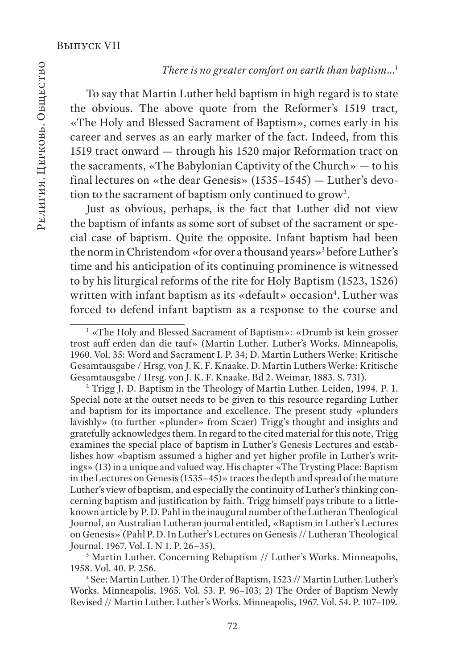### *There is no greater comfort on earth than baptism…*<sup>1</sup>

To say that Martin Luther held baptism in high regard is to state the obvious. The above quote from the Reformer's 1519 tract, «The Holy and Blessed Sacrament of Baptism», comes early in his career and serves as an early marker of the fact. Indeed, from this 1519 tract onward — through his 1520 major Reformation tract on the sacraments, «The Babylonian Captivity of the Church» — to his final lectures on «the dear Genesis» (1535–1545) — Luther's devotion to the sacrament of baptism only continued to grow $^{\rm 2}.$ 

Just as obvious, perhaps, is the fact that Luther did not view the baptism of infants as some sort of subset of the sacrament or special case of baptism. Quite the opposite. Infant baptism had been the norm in Christendom «for over a thousand years»3 before Luther's time and his anticipation of its continuing prominence is witnessed to by his liturgical reforms of the rite for Holy Baptism (1523, 1526) written with infant baptism as its «default» occasion<sup>4</sup>. Luther was forced to defend infant baptism as a response to the course and

3 Martin Luther. Concerning Rebaptism // Luther's Works. Minneapolis, 1958. Vol. 40. P. 256.

4 See: Martin Luther. 1) The Order of Baptism, 1523 // Martin Luther. Luther's Works. Minneapolis, 1965. Vol. 53. P. 96–103; 2) The Order of Baptism Newly Revised // Martin Luther. Luther's Works. Minneapolis, 1967. Vol. 54. P. 107–109.

<sup>&</sup>lt;sup>1</sup> «The Holy and Blessed Sacrament of Baptism»: «Drumb ist kein grosser trost auff erden dan die tauf» (Martin Luther. Luther's Works. Minneapolis, 1960. Vol. 35: Word and Sacrament I. P. 34; D. Martin Luthers Werke: Kritische Gesamtausgabe / Hrsg. von J. K. F. Knaake. D. Martin Luthers Werke: Kritische Gesamtausgabe / Hrsg. von J. K. F. Knaake. Bd 2. Weimar, 1883. S. 731).

<sup>&</sup>lt;sup>2</sup> Trigg J. D. Baptism in the Theology of Martin Luther. Leiden, 1994. P. 1. Special note at the outset needs to be given to this resource regarding Luther and baptism for its importance and excellence. The present study «plunders lavishly» (to further «plunder» from Scaer) Trigg's thought and insights and gratefully acknowledges them. In regard to the cited material for this note, Trigg examines the special place of baptism in Luther's Genesis Lectures and establishes how «baptism assumed a higher and yet higher profile in Luther's writings» (13) in a unique and valued way. His chapter «The Trysting Place: Baptism in the Lectures on Genesis (1535–45)» traces the depth and spread of the mature Luther's view of baptism, and especially the continuity of Luther's thinking concerning baptism and justification by faith. Trigg himself pays tribute to a littleknown article by P. D. Pahl in the inaugural number of the Lutheran Theological Journal, an Australian Lutheran journal entitled, «Baptism in Luther's Lectures on Genesis» (Pahl P. D. In Luther's Lectures on Genesis // Lutheran Theological Journal. 1967. Vol. I. N 1. P. 26–35).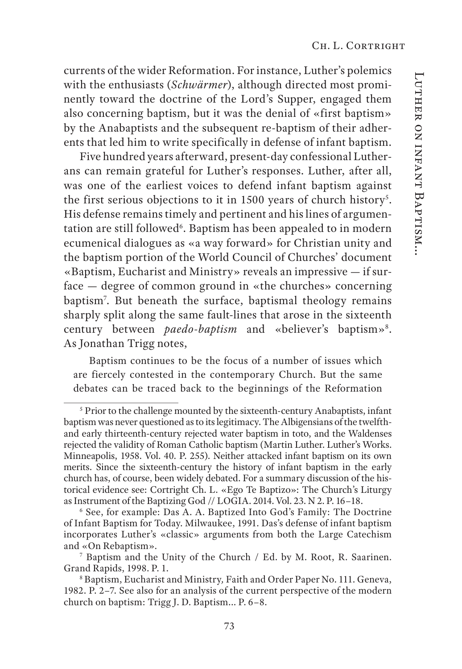currents of the wider Reformation. For instance, Luther's polemics with the enthusiasts (*Schwärmer*), although directed most prominently toward the doctrine of the Lord's Supper, engaged them also concerning baptism, but it was the denial of «first baptism» by the Anabaptists and the subsequent re-baptism of their adherents that led him to write specifically in defense of infant baptism.

Five hundred years afterward, present-day confessional Lutherans can remain grateful for Luther's responses. Luther, after all, was one of the earliest voices to defend infant baptism against the first serious objections to it in  $1500$  years of church history<sup>5</sup>. His defense remains timely and pertinent and his lines of argumentation are still followed<sup>6</sup>. Baptism has been appealed to in modern ecumenical dialogues as «a way forward» for Christian unity and the baptism portion of the World Council of Churches' document «Baptism, Eucharist and Ministry» reveals an impressive — if surface — degree of common ground in «the churches» concerning baptism7 . But beneath the surface, baptismal theology remains sharply split along the same fault-lines that arose in the sixteenth century between *paedo-baptism* and «believer's baptism»8 . As Jonathan Trigg notes,

Baptism continues to be the focus of a number of issues which are fiercely contested in the contemporary Church. But the same debates can be traced back to the beginnings of the Reformation

<sup>&</sup>lt;sup>5</sup> Prior to the challenge mounted by the sixteenth-century Anabaptists, infant baptism was never questioned as to its legitimacy. The Albigensians of the twelfthand early thirteenth-century rejected water baptism in toto, and the Waldenses rejected the validity of Roman Catholic baptism (Martin Luther. Luther's Works. Minneapolis, 1958. Vol. 40. P. 255). Neither attacked infant baptism on its own merits. Since the sixteenth-century the history of infant baptism in the early church has, of course, been widely debated. For a summary discussion of the historical evidence see: Cortright Ch. L. «Ego Te Baptizo»: The Church's Liturgy as Instrument of the Baptizing God // LOGIA. 2014. Vol. 23. N 2. P. 16–18.

<sup>6</sup> See, for example: Das A. A. Baptized Into God's Family: The Doctrine of Infant Baptism for Today. Milwaukee, 1991. Das's defense of infant baptism incorporates Luther's «classic» arguments from both the Large Catechism and «On Rebaptism».

<sup>7</sup> Baptism and the Unity of the Church / Ed. by M. Root, R. Saarinen. Grand Rapids, 1998. P. 1. 8

Baptism, Eucharist and Ministry*,* Faith and Order Paper No. 111. Geneva, 1982. P. 2–7. See also for an analysis of the current perspective of the modern church on baptism: Trigg J. D. Baptism... P. 6–8.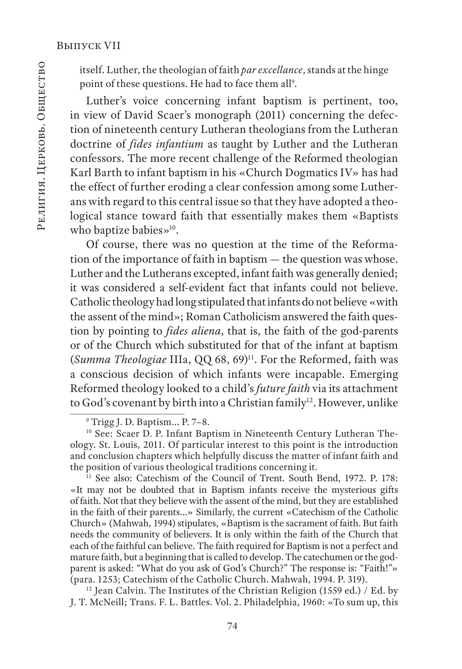itself. Luther, the theologian of faith *par excellance*, stands at the hinge point of these questions. He had to face them all<sup>9</sup>.

Luther's voice concerning infant baptism is pertinent, too, in view of David Scaer's monograph (2011) concerning the defection of nineteenth century Lutheran theologians from the Lutheran doctrine of *fides infantium* as taught by Luther and the Lutheran confessors. The more recent challenge of the Reformed theologian Karl Barth to infant baptism in his «Church Dogmatics IV» has had the effect of further eroding a clear confession among some Lutherans with regard to this central issue so that they have adopted a theological stance toward faith that essentially makes them «Baptists who baptize babies»<sup>10</sup>.

Of course, there was no question at the time of the Reformation of the importance of faith in baptism — the question was whose. Luther and the Lutherans excepted, infant faith was generally denied; it was considered a self-evident fact that infants could not believe. Catholic theology had long stipulated that infants do not believe «with the assent of the mind»; Roman Catholicism answered the faith question by pointing to *fides aliena*, that is, the faith of the god-parents or of the Church which substituted for that of the infant at baptism (*Summa Theologiae* IIIa, QQ 68, 69)11. For the Reformed, faith was a conscious decision of which infants were incapable. Emerging Reformed theology looked to a child's *future faith* via its attachment to God's covenant by birth into a Christian family<sup>12</sup>. However, unlike

<sup>11</sup> See also: Catechism of the Council of Trent. South Bend, 1972. P. 178: «It may not be doubted that in Baptism infants receive the mysterious gifts of faith. Not that they believe with the assent of the mind, but they are established in the faith of their parents…» Similarly, the current «Catechism of the Catholic Church» (Mahwah, 1994) stipulates, «Baptism is the sacrament of faith. But faith needs the community of believers. It is only within the faith of the Church that each of the faithful can believe. The faith required for Baptism is not a perfect and mature faith, but a beginning that is called to develop. The catechumen or the godparent is asked: "What do you ask of God's Church?" The response is: "Faith!"» (para. 1253; Catechism of the Catholic Church. Mahwah, 1994. P. 319).

<sup>12</sup> Jean Calvin. The Institutes of the Christian Religion (1559 ed.) / Ed. by J. T. McNeill; Trans. F. L. Battles. Vol. 2. Philadelphia, 1960: «To sum up, this

<sup>9</sup> Trigg J. D. Baptism... P. 7–8.

<sup>&</sup>lt;sup>10</sup> See: Scaer D. P. Infant Baptism in Nineteenth Century Lutheran Theology. St. Louis, 2011. Of particular interest to this point is the introduction and conclusion chapters which helpfully discuss the matter of infant faith and the position of various theological traditions concerning it.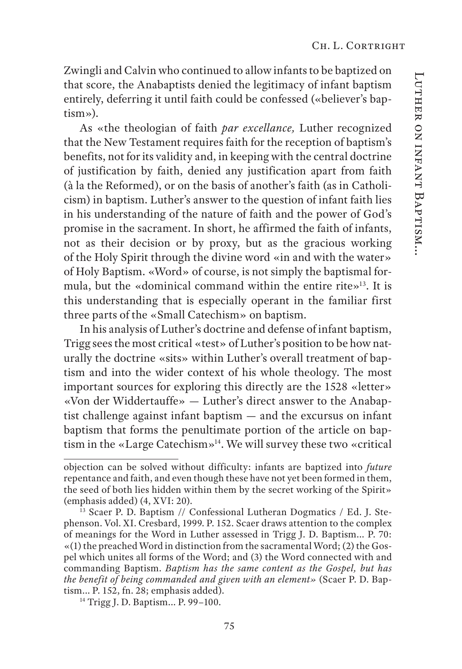Zwingli and Calvin who continued to allow infants to be baptized on that score, the Anabaptists denied the legitimacy of infant baptism entirely, deferring it until faith could be confessed («believer's baptism»).

As «the theologian of faith *par excellance,* Luther recognized that the New Testament requires faith for the reception of baptism's benefits, not for its validity and, in keeping with the central doctrine of justification by faith, denied any justification apart from faith (à la the Reformed), or on the basis of another's faith (as in Catholicism) in baptism. Luther's answer to the question of infant faith lies in his understanding of the nature of faith and the power of God's promise in the sacrament. In short, he affirmed the faith of infants, not as their decision or by proxy, but as the gracious working of the Holy Spirit through the divine word «in and with the water» of Holy Baptism. «Word» of course, is not simply the baptismal formula, but the «dominical command within the entire rite»13. It is this understanding that is especially operant in the familiar first three parts of the «Small Catechism» on baptism.

In his analysis of Luther's doctrine and defense of infant baptism, Trigg sees the most critical «test» of Luther's position to be how naturally the doctrine «sits» within Luther's overall treatment of baptism and into the wider context of his whole theology. The most important sources for exploring this directly are the 1528 «letter» «Von der Widdertauffe» — Luther's direct answer to the Anabaptist challenge against infant baptism — and the excursus on infant baptism that forms the penultimate portion of the article on baptism in the «Large Catechism»14. We will survey these two «critical

objection can be solved without difficulty: infants are baptized into *future*  repentance and faith, and even though these have not yet been formed in them, the seed of both lies hidden within them by the secret working of the Spirit» (emphasis added) (4, XVI: 20).

 $\frac{13}{13}$  Scaer P. D. Baptism // Confessional Lutheran Dogmatics / Ed. J. Stephenson. Vol. XI. Cresbard, 1999. P. 152. Scaer draws attention to the complex of meanings for the Word in Luther assessed in Trigg J. D. Baptism... P. 70: «(1) the preached Word in distinction from the sacramental Word; (2) the Gospel which unites all forms of the Word; and (3) the Word connected with and commanding Baptism. *Baptism has the same content as the Gospel, but has the benefit of being commanded and given with an element»* (Scaer P. D. Baptism... P. 152, fn. 28; emphasis added).

<sup>14</sup> Trigg J. D. Baptism... P. 99–100.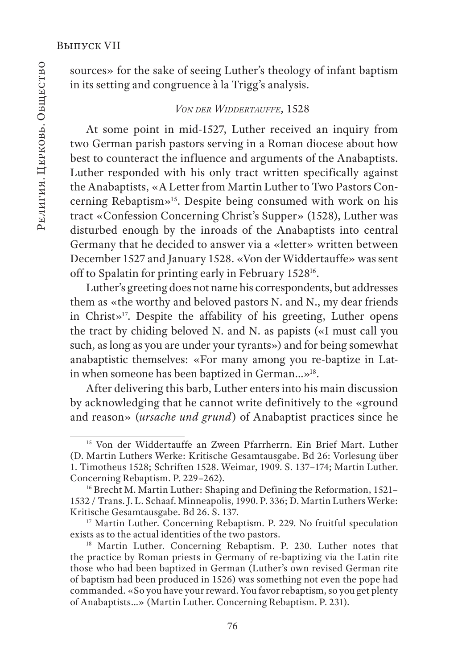sources» for the sake of seeing Luther's theology of infant baptism in its setting and congruence à la Trigg's analysis.

### *Von der Widdertauffe,* 1528

At some point in mid-1527, Luther received an inquiry from two German parish pastors serving in a Roman diocese about how best to counteract the influence and arguments of the Anabaptists. Luther responded with his only tract written specifically against the Anabaptists, «A Letter from Martin Luther to Two Pastors Concerning Rebaptism»15. Despite being consumed with work on his tract «Confession Concerning Christ's Supper» (1528), Luther was disturbed enough by the inroads of the Anabaptists into central Germany that he decided to answer via a «letter» written between December 1527 and January 1528. «Von der Widdertauffe» was sent off to Spalatin for printing early in February 152816.

Luther's greeting does not name his correspondents, but addresses them as «the worthy and beloved pastors N. and N., my dear friends in Christ»17. Despite the affability of his greeting, Luther opens the tract by chiding beloved N. and N. as papists («I must call you such, as long as you are under your tyrants») and for being somewhat anabaptistic themselves: «For many among you re-baptize in Latin when someone has been baptized in German…»18.

After delivering this barb, Luther enters into his main discussion by acknowledging that he cannot write definitively to the «ground and reason» (*ursache und grund*) of Anabaptist practices since he

<sup>&</sup>lt;sup>15</sup> Von der Widdertauffe an Zween Pfarrherrn. Ein Brief Mart. Luther (D. Martin Luthers Werke: Kritische Gesamtausgabe. Bd 26: Vorlesung über 1. Timotheus 1528; Schriften 1528. Weimar, 1909. S. 137–174; Martin Luther. Concerning Rebaptism. P. 229–262).

<sup>&</sup>lt;sup>16</sup> Brecht M. Martin Luther: Shaping and Defining the Reformation, 1521– 1532 / Trans. J. L. Schaaf. Minneapolis, 1990. P. 336; D. Martin Luthers Werke: Kritische Gesamtausgabe. Bd 26. S. 137.

<sup>&</sup>lt;sup>17</sup> Martin Luther. Concerning Rebaptism. P. 229. No fruitful speculation exists as to the actual identities of the two pastors.

<sup>&</sup>lt;sup>18</sup> Martin Luther. Concerning Rebaptism. P. 230. Luther notes that the practice by Roman priests in Germany of re-baptizing via the Latin rite those who had been baptized in German (Luther's own revised German rite of baptism had been produced in 1526) was something not even the pope had commanded. «So you have your reward. You favor rebaptism, so you get plenty of Anabaptists…» (Martin Luther. Concerning Rebaptism. P. 231).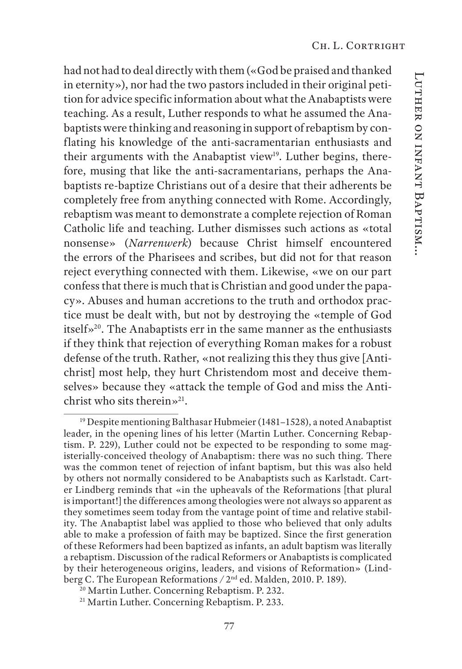had not had to deal directly with them («God be praised and thanked in eternity»), nor had the two pastors included in their original petition for advice specific information about what the Anabaptists were teaching. As a result, Luther responds to what he assumed the Anabaptists were thinking and reasoning in support of rebaptism by conflating his knowledge of the anti-sacramentarian enthusiasts and their arguments with the Anabaptist view<sup>19</sup>. Luther begins, therefore, musing that like the anti-sacramentarians, perhaps the Anabaptists re-baptize Christians out of a desire that their adherents be completely free from anything connected with Rome. Accordingly, rebaptism was meant to demonstrate a complete rejection of Roman Catholic life and teaching. Luther dismisses such actions as «total nonsense» (*Narrenwerk*) because Christ himself encountered the errors of the Pharisees and scribes, but did not for that reason reject everything connected with them. Likewise, «we on our part confess that there is much that is Christian and good under the papacy». Abuses and human accretions to the truth and orthodox practice must be dealt with, but not by destroying the «temple of God itself»20. The Anabaptists err in the same manner as the enthusiasts if they think that rejection of everything Roman makes for a robust defense of the truth. Rather, «not realizing this they thus give [Antichrist] most help, they hurt Christendom most and deceive themselves» because they «attack the temple of God and miss the Antichrist who sits therein $\gg^{21}$ .

<sup>19</sup> Despite mentioning Balthasar Hubmeier (1481–1528), a noted Anabaptist leader, in the opening lines of his letter (Martin Luther. Concerning Rebaptism. P. 229), Luther could not be expected to be responding to some magisterially-conceived theology of Anabaptism: there was no such thing. There was the common tenet of rejection of infant baptism, but this was also held by others not normally considered to be Anabaptists such as Karlstadt. Carter Lindberg reminds that «in the upheavals of the Reformations [that plural is important!] the differences among theologies were not always so apparent as they sometimes seem today from the vantage point of time and relative stability. The Anabaptist label was applied to those who believed that only adults able to make a profession of faith may be baptized. Since the first generation of these Reformers had been baptized as infants, an adult baptism was literally a rebaptism. Discussion of the radical Reformers or Anabaptists is complicated by their heterogeneous origins, leaders, and visions of Reformation» (Lindberg C. The European Reformations */* 2nd ed. Malden, 2010. P. 189).

<sup>&</sup>lt;sup>20</sup> Martin Luther. Concerning Rebaptism. P. 232.

<sup>&</sup>lt;sup>21</sup> Martin Luther. Concerning Rebaptism. P. 233.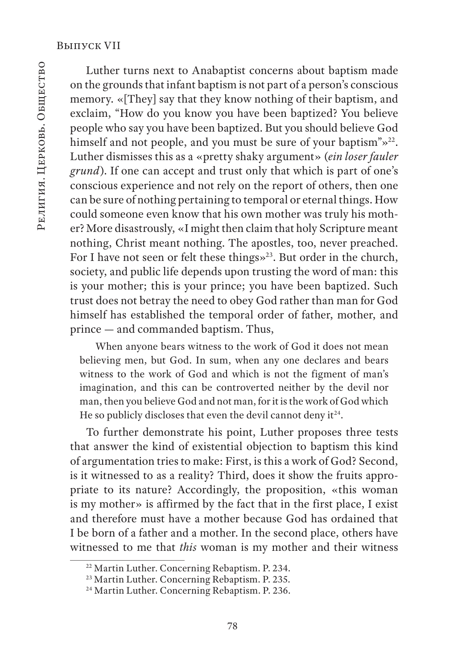Luther turns next to Anabaptist concerns about baptism made on the grounds that infant baptism is not part of a person's conscious memory. «[They] say that they know nothing of their baptism, and exclaim, "How do you know you have been baptized? You believe people who say you have been baptized. But you should believe God himself and not people, and you must be sure of your baptism"»<sup>22</sup>. Luther dismisses this as a «pretty shaky argument» (*ein loser fauler grund*). If one can accept and trust only that which is part of one's conscious experience and not rely on the report of others, then one can be sure of nothing pertaining to temporal or eternal things. How could someone even know that his own mother was truly his mother? More disastrously, «I might then claim that holy Scripture meant nothing, Christ meant nothing. The apostles, too, never preached. For I have not seen or felt these things»<sup>23</sup>. But order in the church, society, and public life depends upon trusting the word of man: this is your mother; this is your prince; you have been baptized. Such trust does not betray the need to obey God rather than man for God himself has established the temporal order of father, mother, and prince — and commanded baptism. Thus,

When anyone bears witness to the work of God it does not mean believing men, but God. In sum, when any one declares and bears witness to the work of God and which is not the figment of man's imagination, and this can be controverted neither by the devil nor man, then you believe God and not man, for it is the work of God which He so publicly discloses that even the devil cannot deny it $24$ .

To further demonstrate his point, Luther proposes three tests that answer the kind of existential objection to baptism this kind of argumentation tries to make: First, is this a work of God? Second, is it witnessed to as a reality? Third, does it show the fruits appropriate to its nature? Accordingly, the proposition, «this woman is my mother» is affirmed by the fact that in the first place, I exist and therefore must have a mother because God has ordained that I be born of a father and a mother. In the second place, others have witnessed to me that *this* woman is my mother and their witness

<sup>22</sup> Martin Luther. Concerning Rebaptism. P. 234.

<sup>&</sup>lt;sup>23</sup> Martin Luther. Concerning Rebaptism. P. 235.

<sup>&</sup>lt;sup>24</sup> Martin Luther. Concerning Rebaptism. P. 236.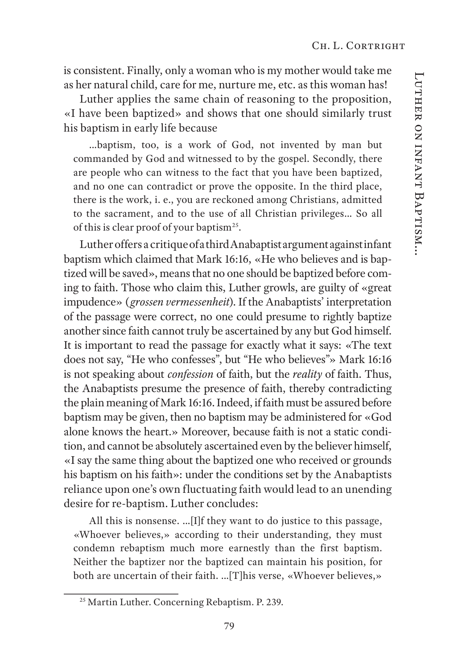is consistent. Finally, only a woman who is my mother would take me as her natural child, care for me, nurture me, etc. as this woman has!

Luther applies the same chain of reasoning to the proposition, «I have been baptized» and shows that one should similarly trust his baptism in early life because

…baptism, too, is a work of God, not invented by man but commanded by God and witnessed to by the gospel. Secondly, there are people who can witness to the fact that you have been baptized, and no one can contradict or prove the opposite. In the third place, there is the work, i. e., you are reckoned among Christians, admitted to the sacrament, and to the use of all Christian privileges… So all of this is clear proof of your baptism<sup>25</sup>.

Luther offers a critique of a third Anabaptist argument against infant baptism which claimed that Mark 16:16, «He who believes and is baptized will be saved», means that no one should be baptized before coming to faith. Those who claim this, Luther growls, are guilty of «great impudence» (*grossen vermessenheit*). If the Anabaptists' interpretation of the passage were correct, no one could presume to rightly baptize another since faith cannot truly be ascertained by any but God himself. It is important to read the passage for exactly what it says: «The text does not say, "He who confesses", but "He who believes"» Mark 16:16 is not speaking about *confession* of faith, but the *reality* of faith. Thus, the Anabaptists presume the presence of faith, thereby contradicting the plain meaning of Mark 16:16. Indeed, if faith must be assured before baptism may be given, then no baptism may be administered for «God alone knows the heart.» Moreover, because faith is not a static condition, and cannot be absolutely ascertained even by the believer himself, «I say the same thing about the baptized one who received or grounds his baptism on his faith»: under the conditions set by the Anabaptists reliance upon one's own fluctuating faith would lead to an unending desire for re-baptism. Luther concludes:

All this is nonsense. …[I]f they want to do justice to this passage, «Whoever believes,» according to their understanding, they must condemn rebaptism much more earnestly than the first baptism. Neither the baptizer nor the baptized can maintain his position, for both are uncertain of their faith. …[T]his verse, «Whoever believes,»

<sup>&</sup>lt;sup>25</sup> Martin Luther. Concerning Rebaptism. P. 239.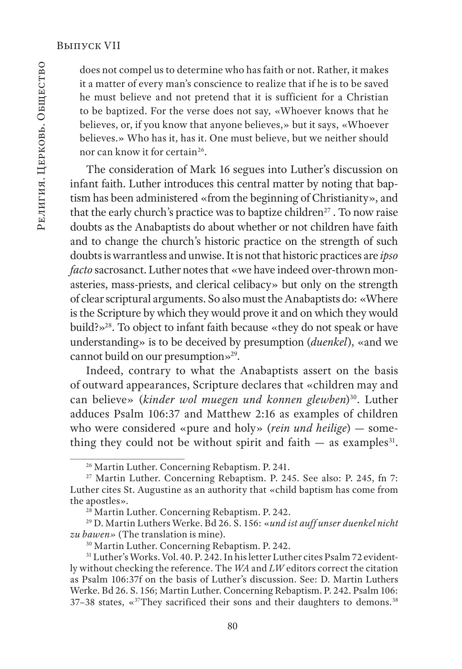does not compel us to determine who has faith or not. Rather, it makes it a matter of every man's conscience to realize that if he is to be saved he must believe and not pretend that it is sufficient for a Christian to be baptized. For the verse does not say, «Whoever knows that he believes, or, if you know that anyone believes,» but it says, «Whoever believes.» Who has it, has it. One must believe, but we neither should nor can know it for certain<sup>26</sup>.

The consideration of Mark 16 segues into Luther's discussion on infant faith. Luther introduces this central matter by noting that baptism has been administered «from the beginning of Christianity», and that the early church's practice was to baptize children<sup>27</sup>. To now raise doubts as the Anabaptists do about whether or not children have faith and to change the church's historic practice on the strength of such doubts is warrantless and unwise. It is not that historic practices are *ipso facto* sacrosanct. Luther notes that «we have indeed over-thrown monasteries, mass-priests, and clerical celibacy» but only on the strength of clear scriptural arguments. So also must the Anabaptists do: «Where is the Scripture by which they would prove it and on which they would build?»28. To object to infant faith because «they do not speak or have understanding» is to be deceived by presumption (*duenkel*), «and we cannot build on our presumption»29.

Indeed, contrary to what the Anabaptists assert on the basis of outward appearances, Scripture declares that «children may and can believe» (*kinder wol muegen und konnen glewben*)<sup>30</sup>. Luther adduces Psalm 106:37 and Matthew 2:16 as examples of children who were considered «pure and holy» (*rein und heilige*) — something they could not be without spirit and faith  $-$  as examples<sup>31</sup>.

<sup>26</sup> Martin Luther. Concerning Rebaptism. P. 241.

<sup>&</sup>lt;sup>27</sup> Martin Luther. Concerning Rebaptism. P. 245. See also: P. 245, fn 7: Luther cites St. Augustine as an authority that «child baptism has come from the apostles».

<sup>&</sup>lt;sup>28</sup> Martin Luther. Concerning Rebaptism. P. 242.

<sup>29</sup> D. Martin Luthers Werke. Bd 26. S. 156: «*und ist auff unser duenkel nicht zu bawen»* (The translation is mine).

<sup>30</sup> Martin Luther. Concerning Rebaptism. P. 242.

<sup>&</sup>lt;sup>31</sup> Luther's Works. Vol. 40. P. 242. In his letter Luther cites Psalm 72 evidently without checking the reference. The *WA* and *LW* editors correct the citation as Psalm 106:37f on the basis of Luther's discussion. See: D. Martin Luthers Werke. Bd 26. S. 156; Martin Luther. Concerning Rebaptism. P. 242. Psalm 106:  $37-38$  states, « $37$ They sacrificed their sons and their daughters to demons.<sup>38</sup>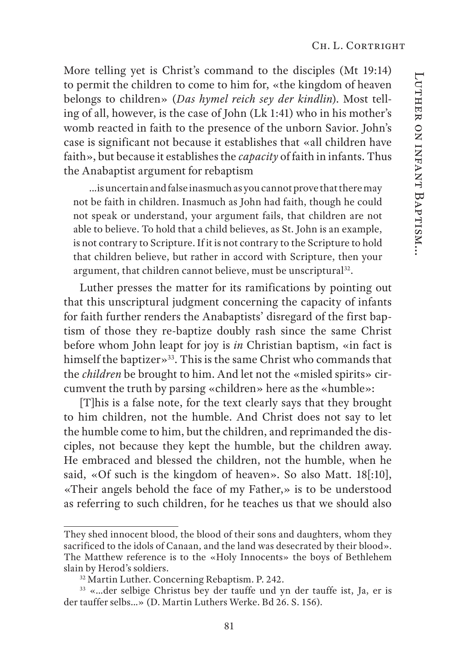More telling yet is Christ's command to the disciples (Mt 19:14) to permit the children to come to him for, «the kingdom of heaven belongs to children» (*Das hymel reich sey der kindlin*). Most telling of all, however, is the case of John (Lk 1:41) who in his mother's womb reacted in faith to the presence of the unborn Savior. John's case is significant not because it establishes that «all children have faith», but because it establishes the *capacity* of faith in infants. Thus the Anabaptist argument for rebaptism

…is uncertain and false inasmuch as you cannot prove that there may not be faith in children. Inasmuch as John had faith, though he could not speak or understand, your argument fails, that children are not able to believe. To hold that a child believes, as St. John is an example, is not contrary to Scripture. If it is not contrary to the Scripture to hold that children believe, but rather in accord with Scripture, then your argument, that children cannot believe, must be unscriptural<sup>32</sup>.

Luther presses the matter for its ramifications by pointing out that this unscriptural judgment concerning the capacity of infants for faith further renders the Anabaptists' disregard of the first baptism of those they re-baptize doubly rash since the same Christ before whom John leapt for joy is *in* Christian baptism, «in fact is himself the baptizer»<sup>33</sup>. This is the same Christ who commands that the *children* be brought to him. And let not the «misled spirits» circumvent the truth by parsing «children» here as the «humble»:

[T]his is a false note, for the text clearly says that they brought to him children, not the humble. And Christ does not say to let the humble come to him, but the children, and reprimanded the disciples, not because they kept the humble, but the children away. He embraced and blessed the children, not the humble, when he said, «Of such is the kingdom of heaven». So also Matt. 18[:10], «Their angels behold the face of my Father,» is to be understood as referring to such children, for he teaches us that we should also

They shed innocent blood, the blood of their sons and daughters, whom they sacrificed to the idols of Canaan, and the land was desecrated by their blood». The Matthew reference is to the «Holy Innocents» the boys of Bethlehem slain by Herod's soldiers.

<sup>32</sup> Martin Luther. Concerning Rebaptism. P. 242.

<sup>33 «…</sup>der selbige Christus bey der tauffe und yn der tauffe ist, Ja, er is der tauffer selbs…» (D. Martin Luthers Werke. Bd 26. S. 156).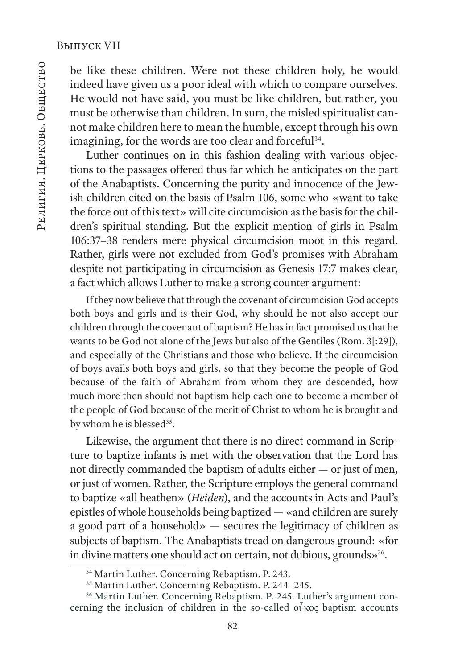be like these children. Were not these children holy, he would indeed have given us a poor ideal with which to compare ourselves. He would not have said, you must be like children, but rather, you must be otherwise than children. In sum, the misled spiritualist cannot make children here to mean the humble, except through his own imagining, for the words are too clear and forceful<sup>34</sup>.

Luther continues on in this fashion dealing with various objections to the passages offered thus far which he anticipates on the part of the Anabaptists. Concerning the purity and innocence of the Jewish children cited on the basis of Psalm 106, some who «want to take the force out of this text» will cite circumcision as the basis for the children's spiritual standing. But the explicit mention of girls in Psalm 106:37–38 renders mere physical circumcision moot in this regard. Rather, girls were not excluded from God's promises with Abraham despite not participating in circumcision as Genesis 17:7 makes clear, a fact which allows Luther to make a strong counter argument:

If they now believe that through the covenant of circumcision God accepts both boys and girls and is their God, why should he not also accept our children through the covenant of baptism? He has in fact promised us that he wants to be God not alone of the Jews but also of the Gentiles (Rom. 3[:29]), and especially of the Christians and those who believe. If the circumcision of boys avails both boys and girls, so that they become the people of God because of the faith of Abraham from whom they are descended, how much more then should not baptism help each one to become a member of the people of God because of the merit of Christ to whom he is brought and by whom he is blessed<sup>35</sup>.

Likewise, the argument that there is no direct command in Scripture to baptize infants is met with the observation that the Lord has not directly commanded the baptism of adults either — or just of men, or just of women. Rather, the Scripture employs the general command to baptize «all heathen» (*Heiden*), and the accounts in Acts and Paul's epistles of whole households being baptized — «and children are surely a good part of a household» — secures the legitimacy of children as subjects of baptism. The Anabaptists tread on dangerous ground: «for in divine matters one should act on certain, not dubious, grounds»<sup>36</sup>.

<sup>34</sup> Martin Luther. Concerning Rebaptism. P. 243.

<sup>35</sup> Martin Luther. Concerning Rebaptism. P. 244–245.

<sup>&</sup>lt;sup>36</sup> Martin Luther. Concerning Rebaptism. P. 245. Luther's argument concerning the inclusion of children in the so-called οι κος baptism accounts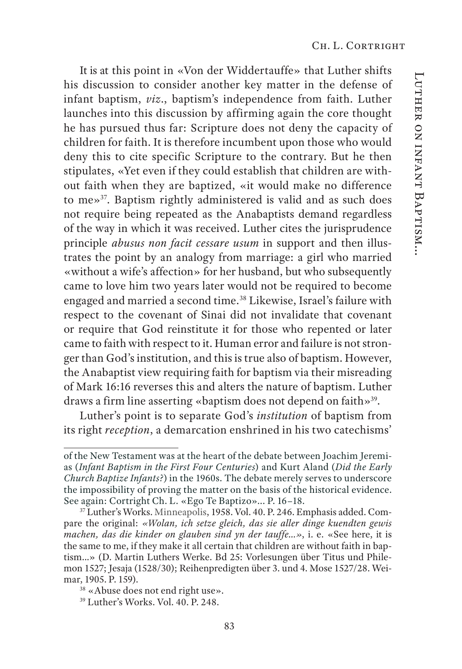It is at this point in «Von der Widdertauffe» that Luther shifts his discussion to consider another key matter in the defense of infant baptism, *viz*., baptism's independence from faith. Luther launches into this discussion by affirming again the core thought he has pursued thus far: Scripture does not deny the capacity of children for faith. It is therefore incumbent upon those who would deny this to cite specific Scripture to the contrary. But he then stipulates, «Yet even if they could establish that children are without faith when they are baptized, «it would make no difference to me»37. Baptism rightly administered is valid and as such does not require being repeated as the Anabaptists demand regardless of the way in which it was received. Luther cites the jurisprudence principle *abusus non facit cessare usum* in support and then illustrates the point by an analogy from marriage: a girl who married «without a wife's affection» for her husband, but who subsequently came to love him two years later would not be required to become engaged and married a second time.<sup>38</sup> Likewise, Israel's failure with respect to the covenant of Sinai did not invalidate that covenant or require that God reinstitute it for those who repented or later came to faith with respect to it. Human error and failure is not stronger than God's institution, and this is true also of baptism. However, the Anabaptist view requiring faith for baptism via their misreading of Mark 16:16 reverses this and alters the nature of baptism. Luther draws a firm line asserting «baptism does not depend on faith»<sup>39</sup>.

Luther's point is to separate God's *institution* of baptism from its right *reception*, a demarcation enshrined in his two catechisms'

of the New Testament was at the heart of the debate between Joachim Jeremias (*Infant Baptism in the First Four Centuries*) and Kurt Aland (*Did the Early Church Baptize Infants?*) in the 1960s. The debate merely serves to underscore the impossibility of proving the matter on the basis of the historical evidence. See again: Cortright Ch. L. «Ego Te Baptizo»... P. 16–18.

<sup>&</sup>lt;sup>37</sup> Luther's Works. Minneapolis, 1958. Vol. 40. P. 246. Emphasis added. Compare the original: *«Wolan, ich setze gleich, das sie aller dinge kuendten gewis machen, das die kinder on glauben sind yn der tauffe…»*, i. e. «See here, it is the same to me, if they make it all certain that children are without faith in baptism…» (D. Martin Luthers Werke. Bd 25: Vorlesungen über Titus und Philemon 1527; Jesaja (1528/30); Reihenpredigten über 3. und 4. Mose 1527/28. Weimar, 1905. P. 159).

<sup>38 «</sup>Abuse does not end right use».

<sup>39</sup> Luther's Works. Vol. 40. P. 248.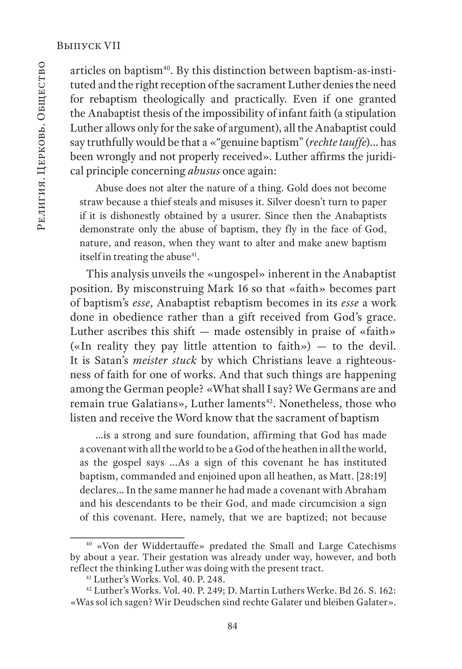articles on baptism<sup>40</sup>. By this distinction between baptism-as-instituted and the right reception of the sacrament Luther denies the need for rebaptism theologically and practically. Even if one granted the Anabaptist thesis of the impossibility of infant faith (a stipulation Luther allows only for the sake of argument), all the Anabaptist could say truthfully would be that a «"genuine baptism" (*rechte tauffe*)… has been wrongly and not properly received». Luther affirms the juridical principle concerning *abusus* once again:

Abuse does not alter the nature of a thing. Gold does not become straw because a thief steals and misuses it. Silver doesn't turn to paper if it is dishonestly obtained by a usurer. Since then the Anabaptists demonstrate only the abuse of baptism, they fly in the face of God, nature, and reason, when they want to alter and make anew baptism itself in treating the abuse<sup>41</sup>.

This analysis unveils the «ungospel» inherent in the Anabaptist position. By misconstruing Mark 16 so that «faith» becomes part of baptism's *esse*, Anabaptist rebaptism becomes in its *esse* a work done in obedience rather than a gift received from God's grace. Luther ascribes this shift — made ostensibly in praise of «faith» («In reality they pay little attention to faith») — to the devil. It is Satan's *meister stuck* by which Christians leave a righteousness of faith for one of works. And that such things are happening among the German people? «What shall I say? We Germans are and remain true Galatians», Luther laments<sup>42</sup>. Nonetheless, those who listen and receive the Word know that the sacrament of baptism

…is a strong and sure foundation, affirming that God has made a covenant with all the world to be a God of the heathen in all the world, as the gospel says ...As a sign of this covenant he has instituted baptism, commanded and enjoined upon all heathen, as Matt. [28:19] declares… In the same manner he had made a covenant with Abraham and his descendants to be their God, and made circumcision a sign of this covenant. Here, namely, that we are baptized; not because

<sup>40 «</sup>Von der Widdertauffe» predated the Small and Large Catechisms by about a year. Their gestation was already under way, however, and both reflect the thinking Luther was doing with the present tract.

<sup>41</sup> Luther's Works. Vol. 40. P. 248.

<sup>42</sup> Luther's Works. Vol. 40. P. 249; D. Martin Luthers Werke. Bd 26. S. 162: «Was sol ich sagen? Wir Deudschen sind rechte Galater und bleiben Galater».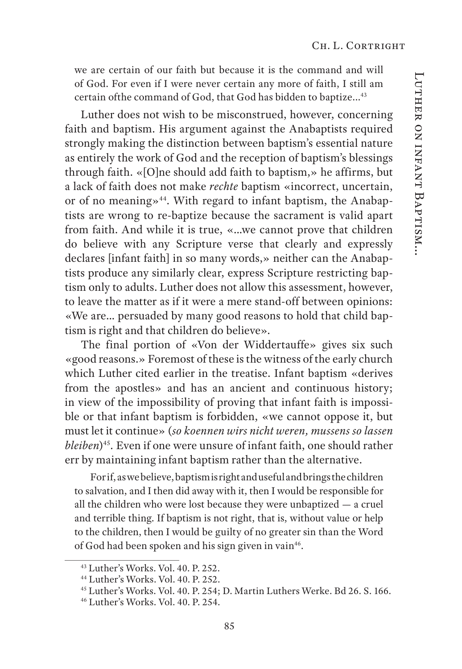we are certain of our faith but because it is the command and will of God. For even if I were never certain any more of faith, I still am certain ofthe command of God, that God has bidden to baptize...43

Luther does not wish to be misconstrued, however, concerning faith and baptism. His argument against the Anabaptists required strongly making the distinction between baptism's essential nature as entirely the work of God and the reception of baptism's blessings through faith. «[O]ne should add faith to baptism,» he affirms, but a lack of faith does not make *rechte* baptism «incorrect, uncertain, or of no meaning»<sup>44</sup>. With regard to infant baptism, the Anabaptists are wrong to re-baptize because the sacrament is valid apart from faith. And while it is true, «…we cannot prove that children do believe with any Scripture verse that clearly and expressly declares [infant faith] in so many words,» neither can the Anabaptists produce any similarly clear, express Scripture restricting baptism only to adults. Luther does not allow this assessment, however, to leave the matter as if it were a mere stand-off between opinions: «We are… persuaded by many good reasons to hold that child baptism is right and that children do believe».

The final portion of «Von der Widdertauffe» gives six such «good reasons.» Foremost of these is the witness of the early church which Luther cited earlier in the treatise. Infant baptism «derives from the apostles» and has an ancient and continuous history; in view of the impossibility of proving that infant faith is impossible or that infant baptism is forbidden, «we cannot oppose it, but must let it continue» (*so koennen wirs nicht weren, mussens so lassen bleiben*<sup>45</sup>. Even if one were unsure of infant faith, one should rather err by maintaining infant baptism rather than the alternative.

For if, as we believe, baptism is right and useful and brings the children to salvation, and I then did away with it, then I would be responsible for all the children who were lost because they were unbaptized — a cruel and terrible thing. If baptism is not right, that is, without value or help to the children, then I would be guilty of no greater sin than the Word of God had been spoken and his sign given in vain<sup>46</sup>.

<sup>43</sup> Luther's Works. Vol. 40. P. 252.

<sup>44</sup> Luther's Works. Vol. 40. P. 252.

<sup>45</sup> Luther's Works. Vol. 40. P. 254; D. Martin Luthers Werke. Bd 26. S. 166.

<sup>46</sup> Luther's Works. Vol. 40. P. 254.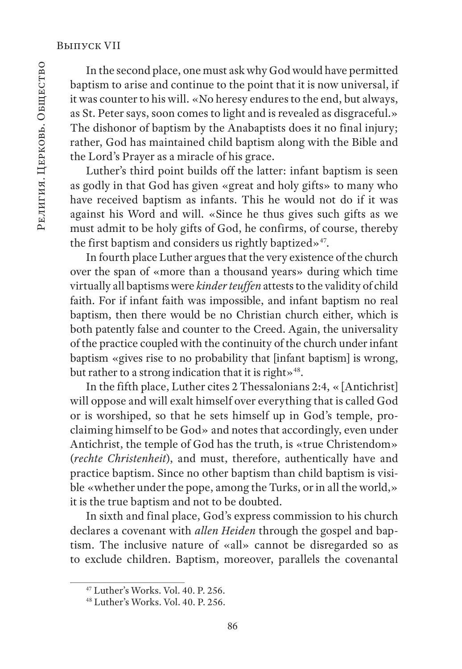In the second place, one must ask why God would have permitted baptism to arise and continue to the point that it is now universal, if it was counter to his will. «No heresy endures to the end, but always, as St. Peter says, soon comes to light and is revealed as disgraceful.» The dishonor of baptism by the Anabaptists does it no final injury; rather, God has maintained child baptism along with the Bible and the Lord's Prayer as a miracle of his grace.

Luther's third point builds off the latter: infant baptism is seen as godly in that God has given «great and holy gifts» to many who have received baptism as infants. This he would not do if it was against his Word and will. «Since he thus gives such gifts as we must admit to be holy gifts of God, he confirms, of course, thereby the first baptism and considers us rightly baptized»<sup>47</sup>.

In fourth place Luther argues that the very existence of the church over the span of «more than a thousand years» during which time virtually all baptisms were *kinder teuffen* attests to the validity of child faith. For if infant faith was impossible, and infant baptism no real baptism, then there would be no Christian church either, which is both patently false and counter to the Creed. Again, the universality of the practice coupled with the continuity of the church under infant baptism «gives rise to no probability that [infant baptism] is wrong, but rather to a strong indication that it is right»<sup>48</sup>.

In the fifth place, Luther cites 2 Thessalonians 2:4, «[Antichrist] will oppose and will exalt himself over everything that is called God or is worshiped, so that he sets himself up in God's temple, proclaiming himself to be God» and notes that accordingly, even under Antichrist, the temple of God has the truth, is «true Christendom» (*rechte Christenheit*), and must, therefore, authentically have and practice baptism. Since no other baptism than child baptism is visible «whether under the pope, among the Turks, or in all the world,» it is the true baptism and not to be doubted.

In sixth and final place, God's express commission to his church declares a covenant with *allen Heiden* through the gospel and baptism. The inclusive nature of «all» cannot be disregarded so as to exclude children. Baptism, moreover, parallels the covenantal

<sup>47</sup> Luther's Works. Vol. 40. P. 256.

<sup>48</sup> Luther's Works. Vol. 40. P. 256.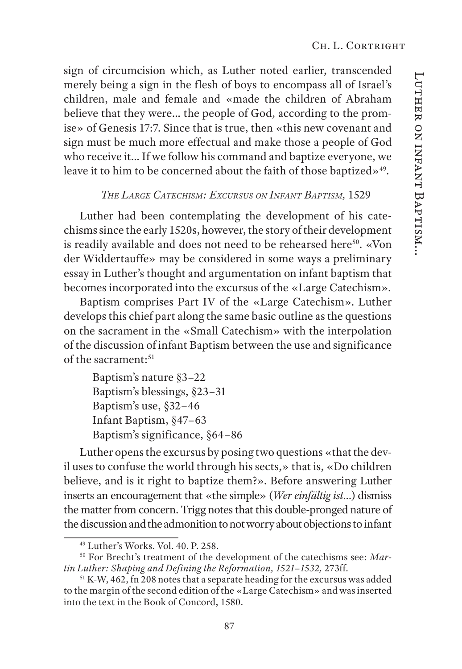sign of circumcision which, as Luther noted earlier, transcended merely being a sign in the flesh of boys to encompass all of Israel's children, male and female and «made the children of Abraham believe that they were… the people of God, according to the promise» of Genesis 17:7. Since that is true, then «this new covenant and sign must be much more effectual and make those a people of God who receive it… If we follow his command and baptize everyone, we leave it to him to be concerned about the faith of those baptized»<sup>49</sup>.

## *The Large Catechism: Excursus on Infant Baptism,* 1529

Luther had been contemplating the development of his catechisms since the early 1520s, however, the story of their development is readily available and does not need to be rehearsed here<sup>50</sup>. «Von der Widdertauffe» may be considered in some ways a preliminary essay in Luther's thought and argumentation on infant baptism that becomes incorporated into the excursus of the «Large Catechism».

Baptism comprises Part IV of the «Large Catechism». Luther develops this chief part along the same basic outline as the questions on the sacrament in the «Small Catechism» with the interpolation of the discussion of infant Baptism between the use and significance of the sacrament:51

Luther opens the excursus by posing two questions «that the devil uses to confuse the world through his sects,» that is, «Do children believe, and is it right to baptize them?». Before answering Luther inserts an encouragement that «the simple» (*Wer einfältig ist…*) dismiss the matter from concern. Trigg notes that this double-pronged nature of the discussion and the admonition to not worry about objections to infant

Baptism's nature §3–22 Baptism's blessings, §23–31 Baptism's use, §32–46 Infant Baptism, §47–63 Baptism's significance, §64–86

<sup>49</sup> Luther's Works. Vol. 40. P. 258.

<sup>50</sup> For Brecht's treatment of the development of the catechisms see: *Martin Luther: Shaping and Defining the Reformation, 1521–1532,* 273ff.

<sup>&</sup>lt;sup>51</sup> K-W, 462, fn 208 notes that a separate heading for the excursus was added to the margin of the second edition of the «Large Catechism» and was inserted into the text in the Book of Concord, 1580.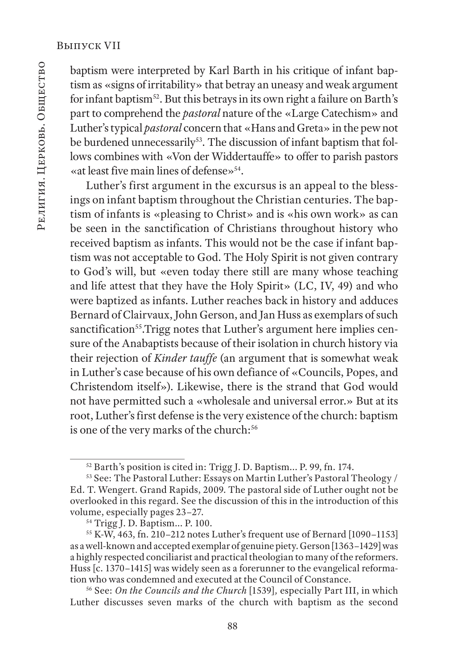baptism were interpreted by Karl Barth in his critique of infant baptism as «signs of irritability» that betray an uneasy and weak argument for infant baptism<sup>52</sup>. But this betrays in its own right a failure on Barth's part to comprehend the *pastoral* nature of the «Large Catechism» and Luther's typical *pastoral* concern that «Hans and Greta» in the pew not be burdened unnecessarily<sup>53</sup>. The discussion of infant baptism that follows combines with «Von der Widdertauffe» to offer to parish pastors «at least five main lines of defense»54.

Luther's first argument in the excursus is an appeal to the blessings on infant baptism throughout the Christian centuries. The baptism of infants is «pleasing to Christ» and is «his own work» as can be seen in the sanctification of Christians throughout history who received baptism as infants. This would not be the case if infant baptism was not acceptable to God. The Holy Spirit is not given contrary to God's will, but «even today there still are many whose teaching and life attest that they have the Holy Spirit» (LC, IV, 49) and who were baptized as infants. Luther reaches back in history and adduces Bernard of Clairvaux, John Gerson, and Jan Huss as exemplars of such sanctification<sup>55</sup>.Trigg notes that Luther's argument here implies censure of the Anabaptists because of their isolation in church history via their rejection of *Kinder tauffe* (an argument that is somewhat weak in Luther's case because of his own defiance of «Councils, Popes, and Christendom itself»). Likewise, there is the strand that God would not have permitted such a «wholesale and universal error.» But at its root, Luther's first defense is the very existence of the church: baptism is one of the very marks of the church:<sup>56</sup>

<sup>52</sup> Barth's position is cited in: Trigg J. D. Baptism... P. 99, fn. 174.

<sup>53</sup> See: The Pastoral Luther: Essays on Martin Luther's Pastoral Theology / Ed. T. Wengert. Grand Rapids, 2009. The pastoral side of Luther ought not be overlooked in this regard. See the discussion of this in the introduction of this volume, especially pages 23–27.

<sup>54</sup> Trigg J. D. Baptism... P. 100.

 $55$  K-W, 463, fn. 210–212 notes Luther's frequent use of Bernard [1090–1153] as a well-known and accepted exemplar of genuine piety. Gerson [1363–1429] was a highly respected conciliarist and practical theologian to many of the reformers. Huss [c. 1370–1415] was widely seen as a forerunner to the evangelical reformation who was condemned and executed at the Council of Constance.

<sup>56</sup> See: *On the Councils and the Church* [1539]*,* especially Part III, in which Luther discusses seven marks of the church with baptism as the second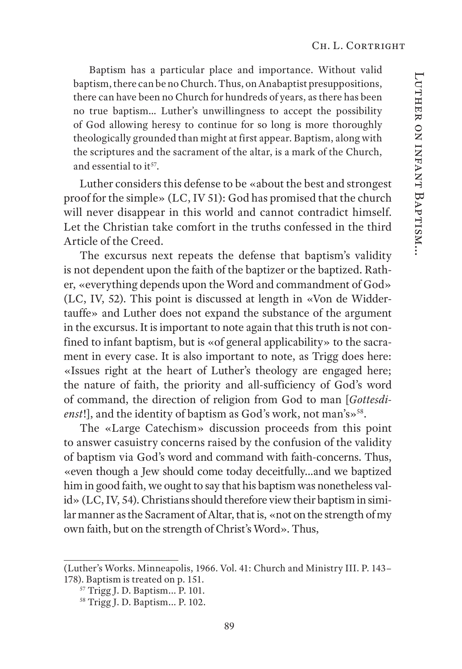Baptism has a particular place and importance. Without valid baptism, there can be no Church. Thus, on Anabaptist presuppositions, there can have been no Church for hundreds of years, as there has been no true baptism… Luther's unwillingness to accept the possibility of God allowing heresy to continue for so long is more thoroughly theologically grounded than might at first appear. Baptism, along with the scriptures and the sacrament of the altar, is a mark of the Church, and essential to  $it^{57}$ .

Luther considers this defense to be «about the best and strongest proof for the simple» (LC, IV 51): God has promised that the church will never disappear in this world and cannot contradict himself. Let the Christian take comfort in the truths confessed in the third Article of the Creed.

The excursus next repeats the defense that baptism's validity is not dependent upon the faith of the baptizer or the baptized. Rather, «everything depends upon the Word and commandment of God» (LC, IV, 52). This point is discussed at length in «Von de Widdertauffe» and Luther does not expand the substance of the argument in the excursus. It is important to note again that this truth is not confined to infant baptism, but is «of general applicability» to the sacrament in every case. It is also important to note, as Trigg does here: «Issues right at the heart of Luther's theology are engaged here; the nature of faith, the priority and all-sufficiency of God's word of command, the direction of religion from God to man [*Gottesdi*enst!], and the identity of baptism as God's work, not man's»<sup>58</sup>.

The «Large Catechism» discussion proceeds from this point to answer casuistry concerns raised by the confusion of the validity of baptism via God's word and command with faith-concerns. Thus, «even though a Jew should come today deceitfully…and we baptized him in good faith, we ought to say that his baptism was nonetheless valid» (LC, IV, 54). Christians should therefore view their baptism in similar manner as the Sacrament of Altar, that is, «not on the strength of my own faith, but on the strength of Christ's Word». Thus,

<sup>(</sup>Luther's Works. Minneapolis, 1966. Vol. 41: Church and Ministry III. P. 143– 178). Baptism is treated on p. 151.

<sup>57</sup> Trigg J. D. Baptism... P. 101.

<sup>58</sup> Trigg J. D. Baptism... P. 102.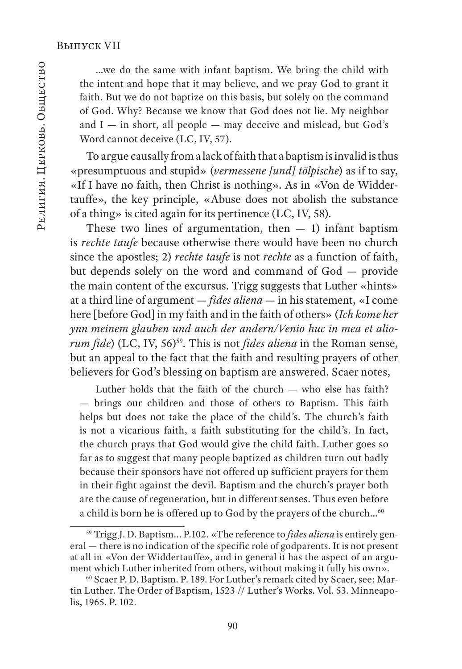…we do the same with infant baptism. We bring the child with the intent and hope that it may believe, and we pray God to grant it faith. But we do not baptize on this basis, but solely on the command of God. Why? Because we know that God does not lie. My neighbor and  $I$   $-$  in short, all people  $-$  may deceive and mislead, but God's Word cannot deceive (LC, IV, 57).

To argue causally from a lack of faith that a baptism is invalid is thus «presumptuous and stupid» (*vermessene [und] tölpische*) as if to say, «If I have no faith, then Christ is nothing». As in «Von de Widdertauffe»*,* the key principle, «Abuse does not abolish the substance of a thing» is cited again for its pertinence (LC, IV, 58).

These two lines of argumentation, then  $-1$ ) infant baptism is *rechte taufe* because otherwise there would have been no church since the apostles; 2) *rechte taufe* is not *rechte* as a function of faith, but depends solely on the word and command of God — provide the main content of the excursus. Trigg suggests that Luther «hints» at a third line of argument — *fides aliena —* in his statement, «I come here [before God] in my faith and in the faith of others» (*Ich kome her ynn meinem glauben und auch der andern/Venio huc in mea et aliorum fide*) (LC, IV, 56)<sup>59</sup>. This is not *fides aliena* in the Roman sense, but an appeal to the fact that the faith and resulting prayers of other believers for God's blessing on baptism are answered. Scaer notes,

Luther holds that the faith of the  $\text{church} - \text{who}$  else has faith? — brings our children and those of others to Baptism. This faith helps but does not take the place of the child's. The church's faith is not a vicarious faith, a faith substituting for the child's. In fact, the church prays that God would give the child faith. Luther goes so far as to suggest that many people baptized as children turn out badly because their sponsors have not offered up sufficient prayers for them in their fight against the devil. Baptism and the church's prayer both are the cause of regeneration, but in different senses. Thus even before a child is born he is offered up to God by the prayers of the church...<sup>60</sup>

<sup>59</sup> Trigg J. D. Baptism... P.102. «The reference to *fides aliena* is entirely general — there is no indication of the specific role of godparents. It is not present at all in «Von der Widdertauffe»*,* and in general it has the aspect of an argument which Luther inherited from others, without making it fully his own».

<sup>60</sup> Scaer P. D. Baptism. P. 189. For Luther's remark cited by Scaer, see: Martin Luther. The Order of Baptism, 1523 // Luther's Works. Vol. 53. Minneapolis, 1965. P. 102.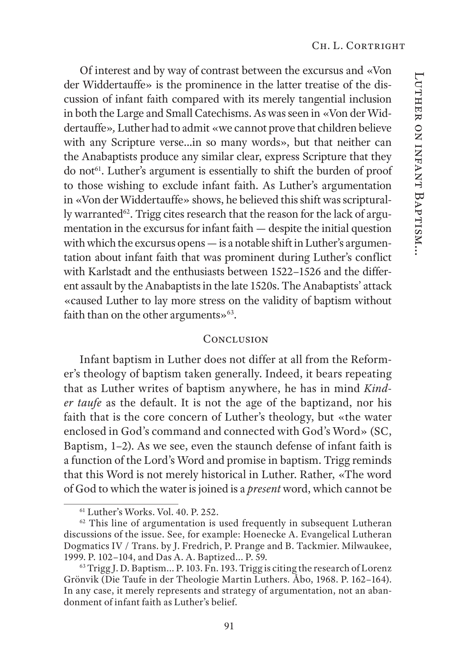Of interest and by way of contrast between the excursus and «Von der Widdertauffe» is the prominence in the latter treatise of the discussion of infant faith compared with its merely tangential inclusion in both the Large and Small Catechisms. As was seen in «Von der Widdertauffe»*,* Luther had to admit «we cannot prove that children believe with any Scripture verse…in so many words», but that neither can the Anabaptists produce any similar clear, express Scripture that they do not<sup>61</sup>. Luther's argument is essentially to shift the burden of proof to those wishing to exclude infant faith. As Luther's argumentation in «Von der Widdertauffe» shows, he believed this shift was scripturally warranted<sup>62</sup>. Trigg cites research that the reason for the lack of argumentation in the excursus for infant faith — despite the initial question with which the excursus opens — is a notable shift in Luther's argumentation about infant faith that was prominent during Luther's conflict with Karlstadt and the enthusiasts between 1522–1526 and the different assault by the Anabaptists in the late 1520s. The Anabaptists' attack «caused Luther to lay more stress on the validity of baptism without faith than on the other arguments» $63$ .

#### **CONCLUSION**

Infant baptism in Luther does not differ at all from the Reformer's theology of baptism taken generally. Indeed, it bears repeating that as Luther writes of baptism anywhere, he has in mind *Kinder taufe* as the default. It is not the age of the baptizand, nor his faith that is the core concern of Luther's theology, but «the water enclosed in God's command and connected with God's Word» (SC, Baptism, 1–2). As we see, even the staunch defense of infant faith is a function of the Lord's Word and promise in baptism. Trigg reminds that this Word is not merely historical in Luther. Rather, «The word of God to which the water is joined is a *present* word, which cannot be

 $61$  Luther's Works. Vol. 40. P. 252.

<sup>&</sup>lt;sup>62</sup> This line of argumentation is used frequently in subsequent Lutheran discussions of the issue. See, for example: Hoenecke A. Evangelical Lutheran Dogmatics IV / Trans. by J. Fredrich, P. Prange and B. Tackmier. Milwaukee, 1999. P. 102–104, and Das A. A. Baptized... P. 59.

<sup>&</sup>lt;sup>63</sup> Trigg J. D. Baptism... P. 103. Fn. 193. Trigg is citing the research of Lorenz Grönvik (Die Taufe in der Theologie Martin Luthers*.* Åbo, 1968. P. 162–164). In any case, it merely represents and strategy of argumentation, not an abandonment of infant faith as Luther's belief.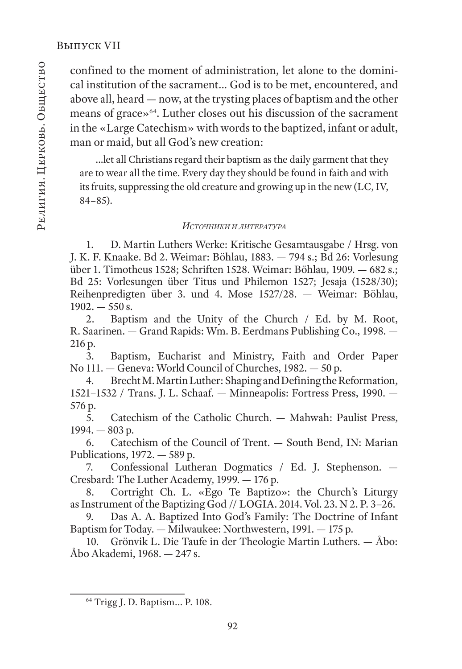confined to the moment of administration, let alone to the dominical institution of the sacrament… God is to be met, encountered, and above all, heard — now, at the trysting places of baptism and the other means of grace»64. Luther closes out his discussion of the sacrament in the «Large Catechism» with words to the baptized, infant or adult, man or maid, but all God's new creation:

…let all Christians regard their baptism as the daily garment that they are to wear all the time. Every day they should be found in faith and with its fruits, suppressing the old creature and growing up in the new (LC, IV, 84–85).

#### *ИсточнИкИ <sup>И</sup> лИтература*

1. D. Martin Luthers Werke: Kritische Gesamtausgabe / Hrsg. von J. K. F. Knaake. Bd 2. Weimar: Böhlau, 1883. — 794 s.; Bd 26: Vorlesung über 1. Timotheus 1528; Schriften 1528. Weimar: Böhlau, 1909. — 682 s.; Bd 25: Vorlesungen über Titus und Philemon 1527; Jesaja (1528/30); Reihenpredigten über 3. und 4. Mose 1527/28. — Weimar: Böhlau,  $1902 = 550$  s.

2. Baptism and the Unity of the Church / Ed. by M. Root, R. Saarinen. — Grand Rapids: Wm. B. Eerdmans Publishing Co., 1998. — 216 р.

3. Baptism, Eucharist and Ministry, Faith and Order Paper No 111. — Geneva: World Council of Churches, 1982. — 50 р.

4. Brecht M. Martin Luther: Shaping and Defining the Reformation, 1521–1532 / Trans. J. L. Schaaf. — Minneapolis: Fortress Press, 1990. — 576 р.

 $\overline{5}$ . Catechism of the Catholic Church. — Mahwah: Paulist Press, 1994. — 803 р.

6. Catechism of the Council of Trent. — South Bend, IN: Marian Publications, 1972. — 589 р.

7. Confessional Lutheran Dogmatics / Ed. J. Stephenson. — Cresbard: The Luther Academy, 1999. — 176 p.

8. Cortright Ch. L. «Ego Te Baptizo»: the Church's Liturgy as Instrument of the Baptizing God // LOGIA. 2014. Vol. 23. N 2. P. 3–26.

9. Das A. A. Baptized Into God's Family: The Doctrine of Infant Baptism for Today. — Milwaukee: Northwestern, 1991. — 175 p.

10. Grönvik L. Die Taufe in der Theologie Martin Luthers. — Åbo: Åbo Akademi, 1968. — 247 s.

<sup>64</sup> Trigg J. D. Baptism... P. 108.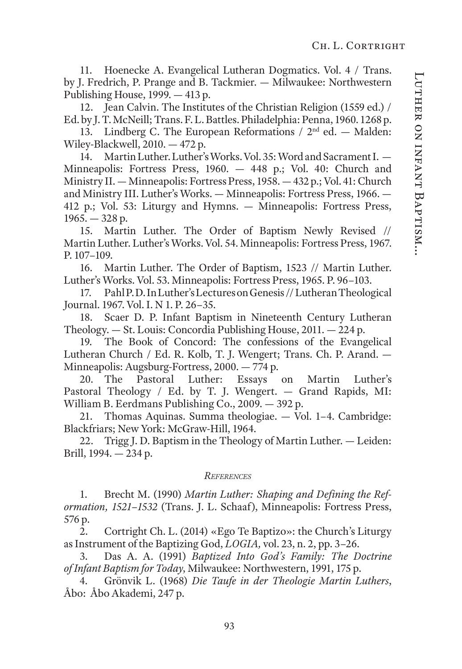11. Hoenecke A. Evangelical Lutheran Dogmatics. Vol. 4 / Trans. by J. Fredrich, P. Prange and B. Tackmier. — Milwaukee: Northwestern Publishing House, 1999. — 413 p.

12. Jean Calvin. The Institutes of the Christian Religion (1559 ed.) / Ed. by J. T. McNeill; Trans. F. L. Battles. Philadelphia: Penna, 1960. 1268 p.

13. Lindberg C. The European Reformations  $/ 2<sup>nd</sup>$  ed. — Malden: Wiley-Blackwell, 2010. — 472 p.

14. Martin Luther. Luther's Works. Vol. 35: Word and Sacrament I. — Minneapolis: Fortress Press, 1960. — 448 p.; Vol. 40: Church and Ministry II. — Minneapolis: Fortress Press, 1958. — 432 p.; Vol. 41: Church and Ministry III. Luther's Works. — Minneapolis: Fortress Press, 1966. — 412 p.; Vol. 53: Liturgy and Hymns. — Minneapolis: Fortress Press,  $1965. - 328$  p.

15. Martin Luther. The Order of Baptism Newly Revised // Martin Luther. Luther's Works. Vol. 54. Minneapolis: Fortress Press, 1967. P. 107–109.

16. Martin Luther. The Order of Baptism, 1523 // Martin Luther. Luther's Works. Vol. 53. Minneapolis: Fortress Press, 1965. P. 96–103.

17. Pahl P. D. In Luther's Lectures on Genesis // Lutheran Theological Journal. 1967. Vol. I. N 1. P. 26–35.

18. Scaer D. P. Infant Baptism in Nineteenth Century Lutheran Theology. — St. Louis: Concordia Publishing House, 2011. — 224 p.

19. The Book of Concord: The confessions of the Evangelical Lutheran Church / Ed. R. Kolb, T. J. Wengert; Trans. Ch. P. Arand. — Minneapolis: Augsburg-Fortress, 2000. — 774 p.

20. The Pastoral Luther: Essays on Martin Luther's Pastoral Theology / Ed. by T. J. Wengert. - Grand Rapids, MI: William B. Eerdmans Publishing Co., 2009. — 392 p.

21. Thomas Aquinas. Summa theologiae. — Vol. 1–4. Cambridge: Blackfriars; New York: McGraw-Hill, 1964.

22. Trigg J. D. Baptism in the Theology of Martin Luther. — Leiden: Brill, 1994. — 234 p.

#### *References*

1. Brecht M. (1990) *Martin Luther: Shaping and Defining the Reformation, 1521–1532* (Trans. J. L. Schaaf), Minneapolis: Fortress Press, 576 р.

2. Cortright Ch. L. (2014) «Ego Te Baptizo»: the Church's Liturgy as Instrument of the Baptizing God, *LOGIA,* vol. 23, n. 2, pp. 3–26.

3. Das A. A. (1991) *Baptized Into God's Family: The Doctrine of Infant Baptism for Today*, Milwaukee: Northwestern, 1991, 175 p.

4. Grönvik L. (1968) *Die Taufe in der Theologie Martin Luthers*, Åbo: Åbo Akademi, 247 p.